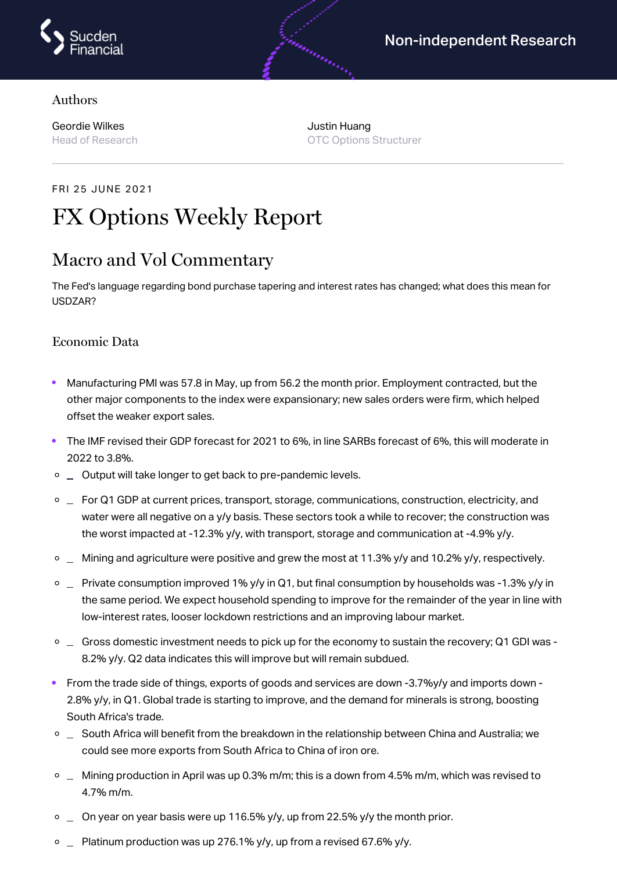

### Authors

Geordie Wilkes Head of Research Justin Huang OTC Options Structurer

androning (1997)

# FRI 25 JUNE 2021 FX Options Weekly Report

# Macro and Vol Commentary

The Fed's language regarding bond purchase tapering and interest rates has changed; what does this mean for USDZAR?

### Economic Data

- Manufacturing PMI was 57.8 in May, up from 56.2 the month prior. Employment contracted, but the other major components to the index were expansionary; new sales orders were firm, which helped offset the weaker export sales.
- The IMF revised their GDP forecast for 2021 to 6%, in line SARBs forecast of 6%, this will moderate in  $\bullet$ 2022 to 3.8%.
- $\circ$   $\Box$  Output will take longer to get back to pre-pandemic levels.
- $\Box$  For Q1 GDP at current prices, transport, storage, communications, construction, electricity, and water were all negative on a y/y basis. These sectors took a while to recover; the construction was the worst impacted at -12.3% y/y, with transport, storage and communication at -4.9% y/y.
- $\Box$  Mining and agriculture were positive and grew the most at 11.3% y/y and 10.2% y/y, respectively.
- $\degree$   $\degree$  Private consumption improved 1% y/y in Q1, but final consumption by households was -1.3% y/y in the same period. We expect household spending to improve for the remainder of the year in line with low-interest rates, looser lockdown restrictions and an improving labour market.
- $\circ$   $\Box$  Gross domestic investment needs to pick up for the economy to sustain the recovery; Q1 GDI was -8.2% y/y. Q2 data indicates this will improve but will remain subdued.
- From the trade side of things, exports of goods and services are down -3.7%y/y and imports down 2.8% y/y, in Q1. Global trade is starting to improve, and the demand for minerals is strong, boosting South Africa's trade.
- $\circ$   $\Box$  South Africa will benefit from the breakdown in the relationship between China and Australia; we could see more exports from South Africa to China of iron ore.
- $\circ$   $\Box$  Mining production in April was up 0.3% m/m; this is a down from 4.5% m/m, which was revised to 4.7% m/m.
- $\circ$   $\Box$  On year on year basis were up 116.5% y/y, up from 22.5% y/y the month prior.
- $\degree$  Platinum production was up 276.1% y/y, up from a revised 67.6% y/y.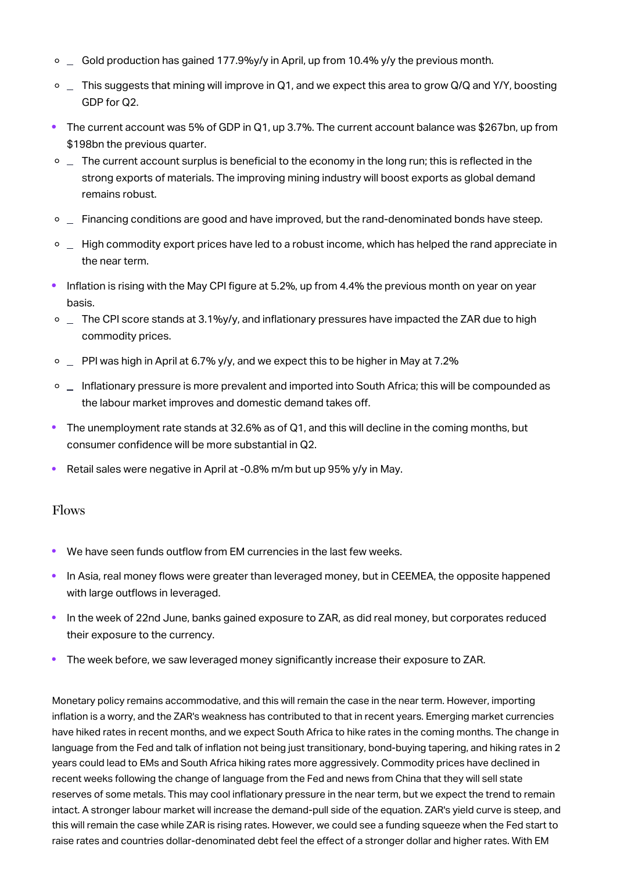- $\circ$   $\Box$  Gold production has gained 177.9%y/y in April, up from 10.4% y/y the previous month.
- $\circ$   $\perp$  This suggests that mining will improve in Q1, and we expect this area to grow Q/Q and Y/Y, boosting GDP for Q2.
- The current account was 5% of GDP in Q1, up 3.7%. The current account balance was \$267bn, up from \$198bn the previous quarter.
- $\circ$   $\Box$  The current account surplus is beneficial to the economy in the long run; this is reflected in the strong exports of materials. The improving mining industry will boost exports as global demand remains robust.
- $\circ$   $\perp$  Financing conditions are good and have improved, but the rand-denominated bonds have steep.
- $\circ$   $\perp$  High commodity export prices have led to a robust income, which has helped the rand appreciate in the near term.
- Inflation is rising with the May CPI figure at 5.2%, up from 4.4% the previous month on year on year basis.
- $\circ$  \_ The CPI score stands at 3.1%y/y, and inflationary pressures have impacted the ZAR due to high commodity prices.
- $\circ$   $\Box$  PPI was high in April at 6.7% y/y, and we expect this to be higher in May at 7.2%
- $\circ$   $\Box$  Inflationary pressure is more prevalent and imported into South Africa; this will be compounded as the labour market improves and domestic demand takes off.
- The unemployment rate stands at 32.6% as of Q1, and this will decline in the coming months, but consumer confidence will be more substantial in Q2.
- Retail sales were negative in April at -0.8% m/m but up 95% y/y in May.

#### Flows

- We have seen funds outflow from EM currencies in the last few weeks.
- In Asia, real money flows were greater than leveraged money, but in CEEMEA, the opposite happened with large outflows in leveraged.
- In the week of 22nd June, banks gained exposure to ZAR, as did real money, but corporates reduced their exposure to the currency.
- The week before, we saw leveraged money significantly increase their exposure to ZAR.

Monetary policy remains accommodative, and this will remain the case in the near term. However, importing inflation is a worry, and the ZAR's weakness has contributed to that in recent years. Emerging market currencies have hiked rates in recent months, and we expect South Africa to hike rates in the coming months. The change in language from the Fed and talk of inflation not being just transitionary, bond-buying tapering, and hiking rates in 2 years could lead to EMs and South Africa hiking rates more aggressively. Commodity prices have declined in recent weeks following the change of language from the Fed and news from China that they will sell state reserves of some metals. This may cool inflationary pressure in the near term, but we expect the trend to remain intact. A stronger labour market will increase the demand-pull side of the equation. ZAR's yield curve is steep, and this will remain the case while ZAR is rising rates. However, we could see a funding squeeze when the Fed start to raise rates and countries dollar-denominated debt feel the effect of a stronger dollar and higher rates. With EM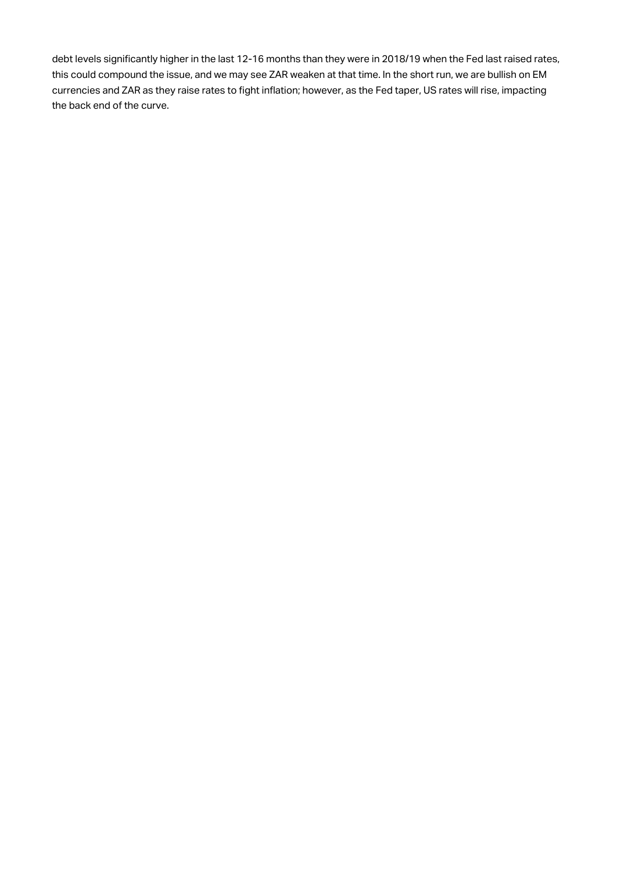debt levels significantly higher in the last 12-16 months than they were in 2018/19 when the Fed last raised rates, this could compound the issue, and we may see ZAR weaken at that time. In the short run, we are bullish on EM currencies and ZAR as they raise rates to fight inflation; however, as the Fed taper, US rates will rise, impacting the back end of the curve.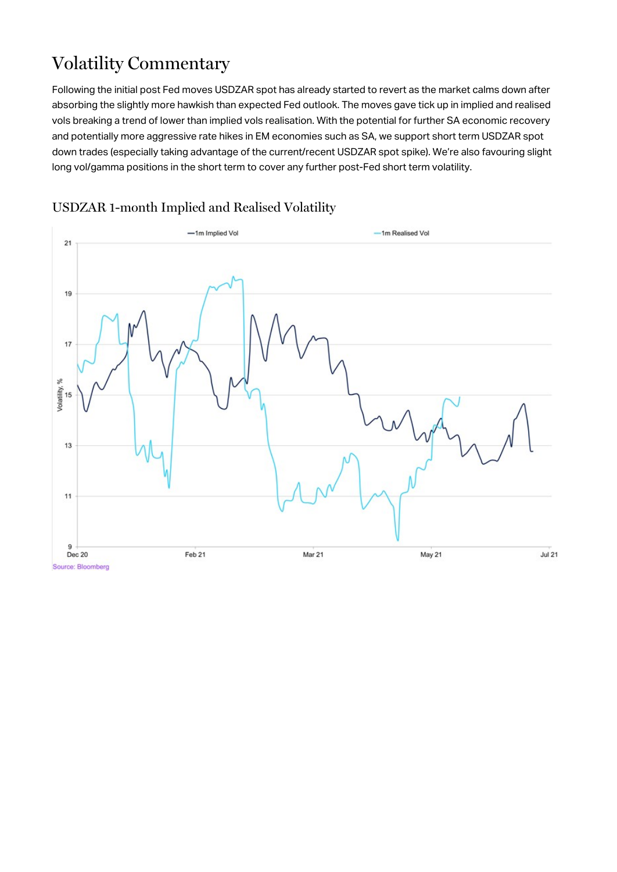# Volatility Commentary

Following the initial post Fed moves USDZAR spot has already started to revert as the market calms down after absorbing the slightly more hawkish than expected Fed outlook. The moves gave tick up in implied and realised vols breaking a trend of lower than implied vols realisation. With the potential for further SA economic recovery and potentially more aggressive rate hikes in EM economies such as SA, we support short term USDZAR spot down trades (especially taking advantage of the current/recent USDZAR spot spike). We're also favouring slight long vol/gamma positions in the short term to cover any further post-Fed short term volatility.



## USDZAR 1-month Implied and Realised Volatility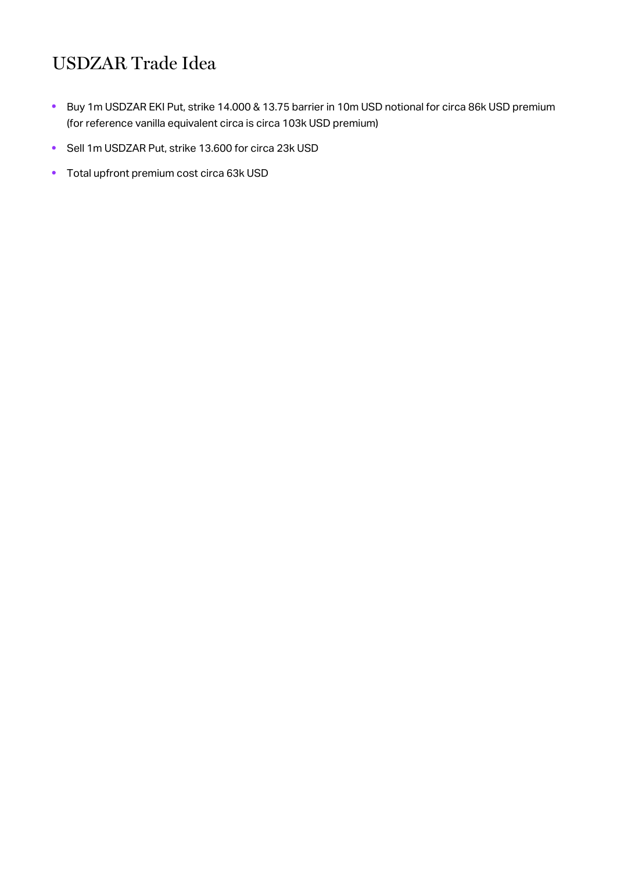# USDZAR Trade Idea

- Buy 1m USDZAR EKI Put, strike 14.000 & 13.75 barrier in 10m USD notional for circa 86k USD premium  $\bullet$ (for reference vanilla equivalent circa is circa 103k USD premium)
- Sell 1m USDZAR Put, strike 13.600 for circa 23k USD
- Total upfront premium cost circa 63k USD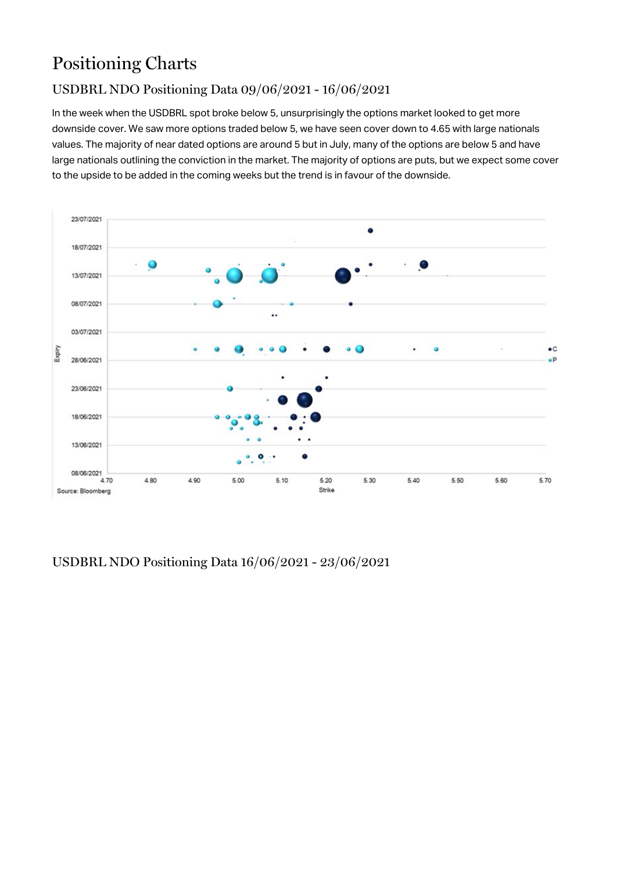# Positioning Charts

## USDBRL NDO Positioning Data 09/06/2021 - 16/06/2021

In the week when the USDBRL spot broke below 5, unsurprisingly the options market looked to get more downside cover. We saw more options traded below 5, we have seen cover down to 4.65 with large nationals values. The majority of near dated options are around 5 but in July, many of the options are below 5 and have large nationals outlining the conviction in the market. The majority of options are puts, but we expect some cover to the upside to be added in the coming weeks but the trend is in favour of the downside.



USDBRL NDO Positioning Data 16/06/2021 - 23/06/2021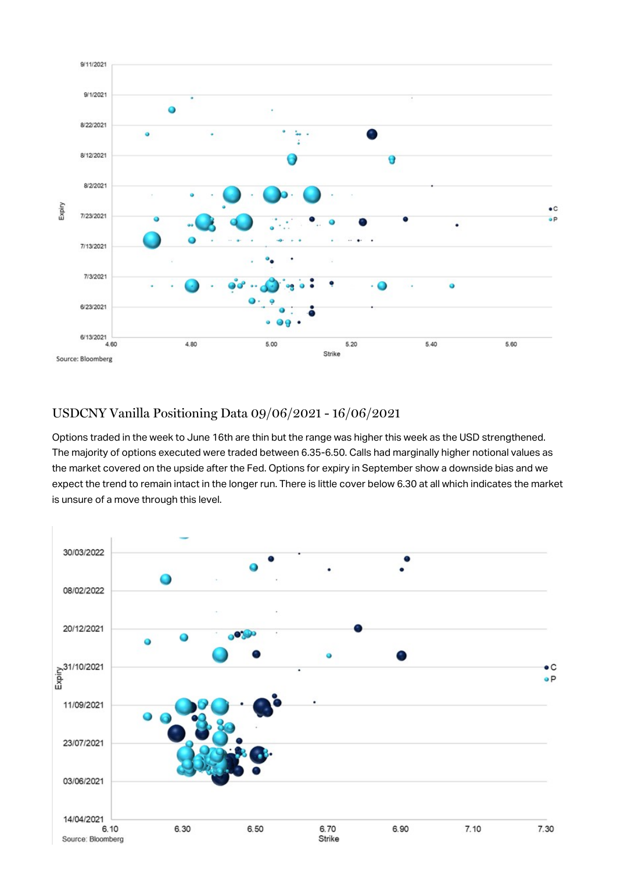

### USDCNY Vanilla Positioning Data 09/06/2021 - 16/06/2021

Options traded in the week to June 16th are thin but the range was higher this week as the USD strengthened. The majority of options executed were traded between 6.35-6.50. Calls had marginally higher notional values as the market covered on the upside after the Fed. Options for expiry in September show a downside bias and we expect the trend to remain intact in the longer run. There is little cover below 6.30 at all which indicates the market is unsure of a move through this level.

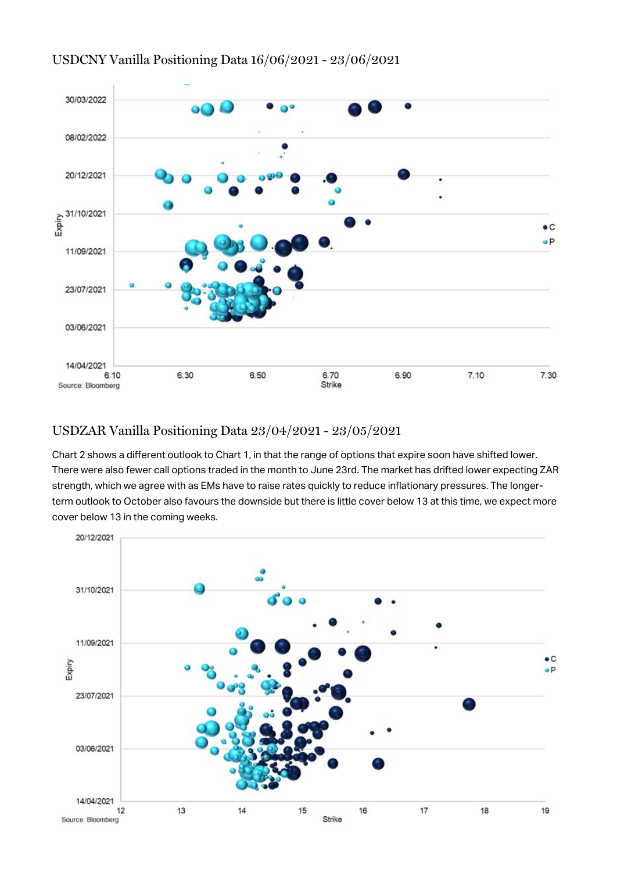

### USDCNY Vanilla Positioning Data 16/06/2021 - 23/06/2021

## USDZAR Vanilla Positioning Data 23/04/2021 - 23/05/2021

Chart 2 shows a different outlook to Chart 1, in that the range of options that expire soon have shifted lower. There were also fewer call options traded in the month to June 23rd. The market has drifted lower expecting ZAR strength, which we agree with as EMs have to raise rates quickly to reduce inflationary pressures. The longerterm outlook to October also favours the downside but there is little cover below 13 at this time, we expect more cover below 13 in the coming weeks.

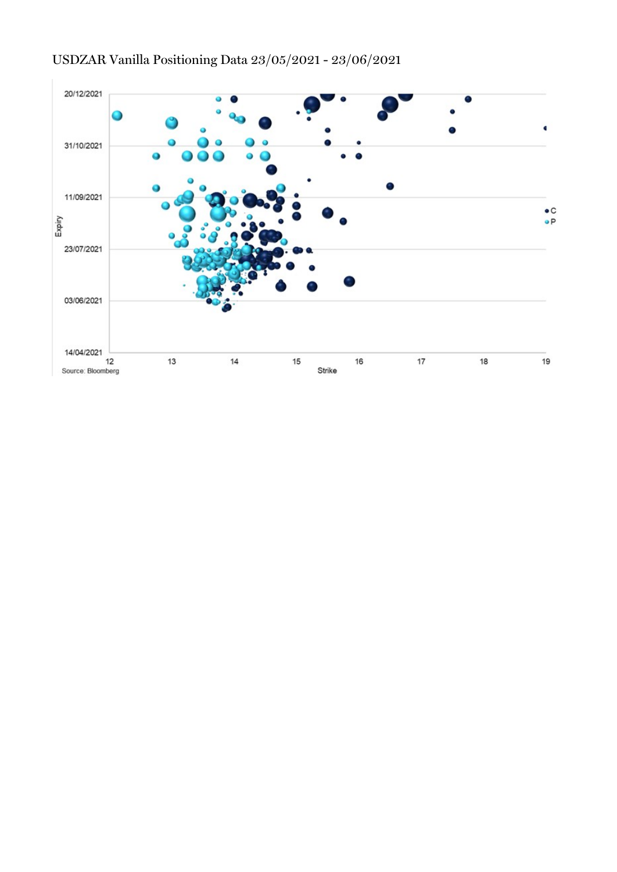

## USDZAR Vanilla Positioning Data 23/05/2021 - 23/06/2021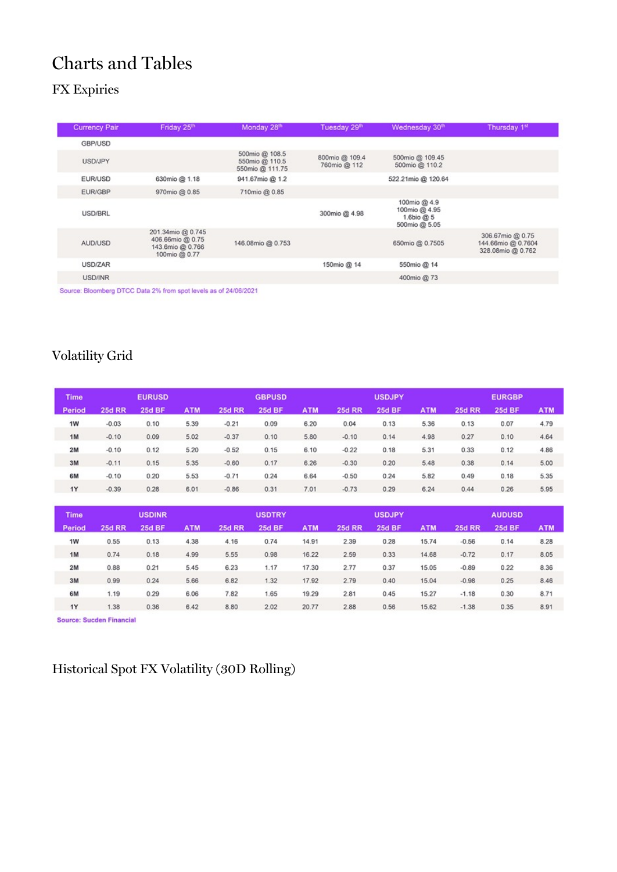# Charts and Tables

# FX Expiries

| Friday 25th                                                                | Monday 28th                                         | Tuesday 29th                   | Wednesday 30 <sup>th</sup>                                   | Thursday 1st                                                |
|----------------------------------------------------------------------------|-----------------------------------------------------|--------------------------------|--------------------------------------------------------------|-------------------------------------------------------------|
|                                                                            |                                                     |                                |                                                              |                                                             |
|                                                                            |                                                     |                                |                                                              |                                                             |
|                                                                            | 500mio @ 108.5<br>550mio @ 110.5<br>550mio @ 111.75 | 800mio @ 109.4<br>760mio @ 112 | 500mio @ 109.45<br>500mio @ 110.2                            |                                                             |
| 630mio @ 1.18                                                              | 941.67mio @ 1.2                                     |                                | 522.21mio @ 120.64                                           |                                                             |
| 970mio @ 0.85                                                              | 710mio @ 0.85                                       |                                |                                                              |                                                             |
|                                                                            |                                                     | 300mio @ 4.98                  | 100mio @ 4.9<br>100mio @ 4.95<br>1.6bio @ 5<br>500mio @ 5.05 |                                                             |
| 201.34mio @ 0.745<br>406.66mio @ 0.75<br>143.6mio @ 0.766<br>100mio @ 0.77 | 146.08mio @ 0.753                                   |                                | 650mio @ 0.7505                                              | 306.67mio @ 0.75<br>144.66mio @ 0.7604<br>328.08mio @ 0.762 |
|                                                                            |                                                     | 150mio @ 14                    | 550mio @ 14                                                  |                                                             |
|                                                                            |                                                     |                                | 400mio @ 73                                                  |                                                             |
|                                                                            |                                                     | -----------                    |                                                              |                                                             |

Source: Bloomberg DTCC Data 2% from spot levels as of 24/06/2021

## Volatility Grid

| <b>Time</b> |               | <b>EURUSD</b> |            |               | <b>GBPUSD</b> |            |               | <b>USDJPY</b> |            |               | <b>EURGBP</b> |            |
|-------------|---------------|---------------|------------|---------------|---------------|------------|---------------|---------------|------------|---------------|---------------|------------|
| Period      | <b>25d RR</b> | <b>25d BF</b> | <b>ATM</b> | <b>25d RR</b> | <b>25d BF</b> | <b>ATM</b> | <b>25d RR</b> | <b>25d BF</b> | <b>ATM</b> | <b>25d RR</b> | <b>25d BF</b> | <b>ATM</b> |
| 1W          | $-0.03$       | 0.10          | 5.39       | $-0.21$       | 0.09          | 6.20       | 0.04          | 0.13          | 5.36       | 0.13          | 0.07          | 4.79       |
| 1M          | $-0.10$       | 0.09          | 5.02       | $-0.37$       | 0.10          | 5.80       | $-0.10$       | 0.14          | 4.98       | 0.27          | 0.10          | 4.64       |
| 2M          | $-0.10$       | 0.12          | 5.20       | $-0.52$       | 0.15          | 6.10       | $-0.22$       | 0.18          | 5.31       | 0.33          | 0.12          | 4.86       |
| 3M          | $-0.11$       | 0.15          | 5.35       | $-0.60$       | 0.17          | 6.26       | $-0.30$       | 0.20          | 5.48       | 0.38          | 0.14          | 5.00       |
| 6M          | $-0.10$       | 0.20          | 5.53       | $-0.71$       | 0.24          | 6.64       | $-0.50$       | 0.24          | 5.82       | 0.49          | 0.18          | 5.35       |
| 1Y          | $-0.39$       | 0.28          | 6.01       | $-0.86$       | 0.31          | 7.01       | $-0.73$       | 0.29          | 6.24       | 0.44          | 0.26          | 5.95       |

| <b>Time</b> |               | <b>USDINR</b> |            |               | <b>USDTRY</b> |            |               | <b>USDJPY</b> |            |               | <b>AUDUSD</b> |            |
|-------------|---------------|---------------|------------|---------------|---------------|------------|---------------|---------------|------------|---------------|---------------|------------|
| Period      | <b>25d RR</b> | <b>25d BF</b> | <b>ATM</b> | <b>25d RR</b> | <b>25d BF</b> | <b>ATM</b> | <b>25d RR</b> | <b>25d BF</b> | <b>ATM</b> | <b>25d RR</b> | <b>25d BF</b> | <b>ATM</b> |
| 1W          | 0.55          | 0.13          | 4.38       | 4.16          | 0.74          | 14.91      | 2.39          | 0.28          | 15.74      | $-0.56$       | 0.14          | 8.28       |
| 1M          | 0.74          | 0.18          | 4.99       | 5.55          | 0.98          | 16.22      | 2.59          | 0.33          | 14.68      | $-0.72$       | 0.17          | 8.05       |
| 2M          | 0.88          | 0.21          | 5.45       | 6.23          | 1.17          | 17.30      | 2.77          | 0.37          | 15.05      | $-0.89$       | 0.22          | 8.36       |
| 3M          | 0.99          | 0.24          | 5.66       | 6.82          | 1.32          | 17.92      | 2.79          | 0.40          | 15.04      | $-0.98$       | 0.25          | 8.46       |
| 6M          | 1.19          | 0.29          | 6.06       | 7.82          | 1.65          | 19.29      | 2.81          | 0.45          | 15.27      | $-1.18$       | 0.30          | 8.71       |
| <b>1Y</b>   | 1.38          | 0.36          | 6.42       | 8.80          | 2.02          | 20.77      | 2.88          | 0.56          | 15.62      | $-1.38$       | 0.35          | 8.91       |

Source: Sucden Financial

# Historical Spot FX Volatility (30D Rolling)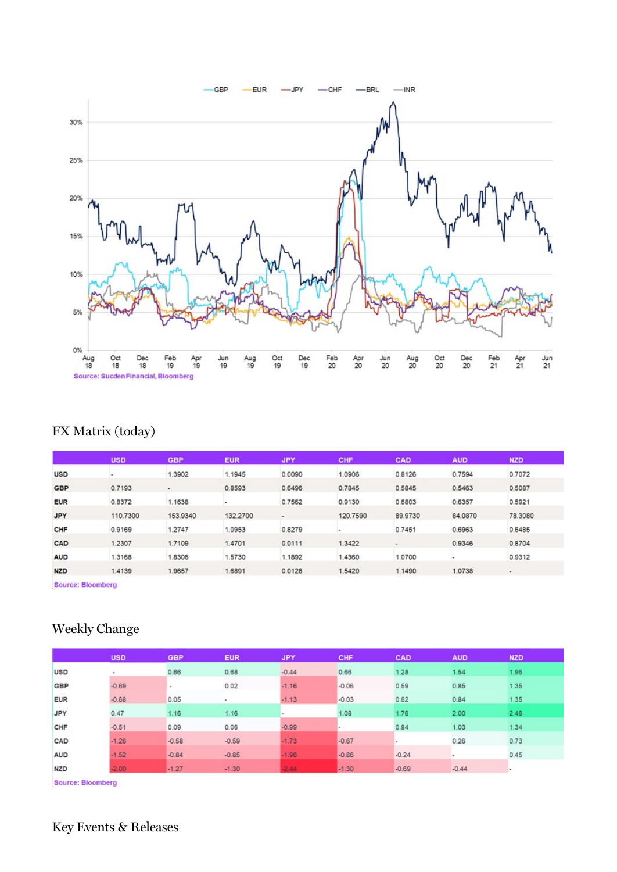

# FX Matrix (today)

|            | <b>USD</b> | <b>GBP</b>     | <b>EUR</b> | <b>JPY</b> | CHF      | CAD                      | <b>AUD</b> | <b>NZD</b> |
|------------|------------|----------------|------------|------------|----------|--------------------------|------------|------------|
| <b>USD</b> |            | 1.3902         | 1.1945     | 0.0090     | 1.0906   | 0.8126                   | 0.7594     | 0.7072     |
| <b>GBP</b> | 0.7193     | $\blacksquare$ | 0.8593     | 0.6496     | 0.7845   | 0.5845                   | 0.5463     | 0.5087     |
| <b>EUR</b> | 0.8372     | 1.1638         |            | 0.7562     | 0.9130   | 0.6803                   | 0.6357     | 0.5921     |
| <b>JPY</b> | 110,7300   | 153,9340       | 132.2700   | $\bullet$  | 120.7590 | 89,9730                  | 84.0870    | 78,3080    |
| CHF        | 0.9169     | 1.2747         | 1.0953     | 0.8279     |          | 0.7451                   | 0.6963     | 0.6485     |
| CAD        | 1.2307     | 1.7109         | 1.4701     | 0.0111     | 1.3422   | $\overline{\phantom{a}}$ | 0.9346     | 0.8704     |
| <b>AUD</b> | 1.3168     | 1.8306         | 1.5730     | 1.1892     | 1,4360   | 1.0700                   |            | 0.9312     |
| <b>NZD</b> | 1,4139     | 1.9657         | 1.6891     | 0.0128     | 1.5420   | 1,1490                   | 1.0738     | ٠          |

Source: Bloomberg

## Weekly Change

|            | <b>USD</b> | <b>GBP</b>               | <b>EUR</b>               | <b>JPY</b>               | CHF     | CAD     | <b>AUD</b> | <b>NZD</b> |  |
|------------|------------|--------------------------|--------------------------|--------------------------|---------|---------|------------|------------|--|
|            |            |                          |                          |                          |         |         |            |            |  |
| <b>USD</b> |            | 0.66                     | 0.68                     | $-0.44$                  | 0.66    | 1.28    | 1.54       | 1.96       |  |
| <b>GBP</b> | $-0.69$    | $\overline{\phantom{a}}$ | 0.02                     | $-1.16$                  | $-0.06$ | 0.59    | 0.85       | 1.35       |  |
| <b>EUR</b> | $-0.68$    | 0.05                     | $\overline{\phantom{a}}$ | $-1.13$                  | $-0.03$ | 0.62    | 0.84       | 1.35       |  |
| <b>JPY</b> | 0.47       | 1.16                     | 1.16                     | $\overline{\phantom{a}}$ | 1.08    | 1.76    | 2.00       | 2.46       |  |
| CHF        | $-0.51$    | 0.09                     | 0.06                     | $-0.99$                  |         | 0.84    | 1.03       | 1.34       |  |
| CAD        | $-1.26$    | $-0.58$                  | $-0.59$                  | $-1.73$                  | $-0.67$ |         | 0.26       | 0.73       |  |
| <b>AUD</b> | $-1.52$    | $-0.84$                  | $-0.85$                  | $-1.96$                  | $-0.86$ | $-0.24$ |            | 0.45       |  |
| <b>NZD</b> | $-2.00$    | $-1.27$                  | $-1.30$                  | $-2.44$                  | $-1.30$ | $-0.69$ | $-0.44$    | $\,$       |  |

Source: Bloomberg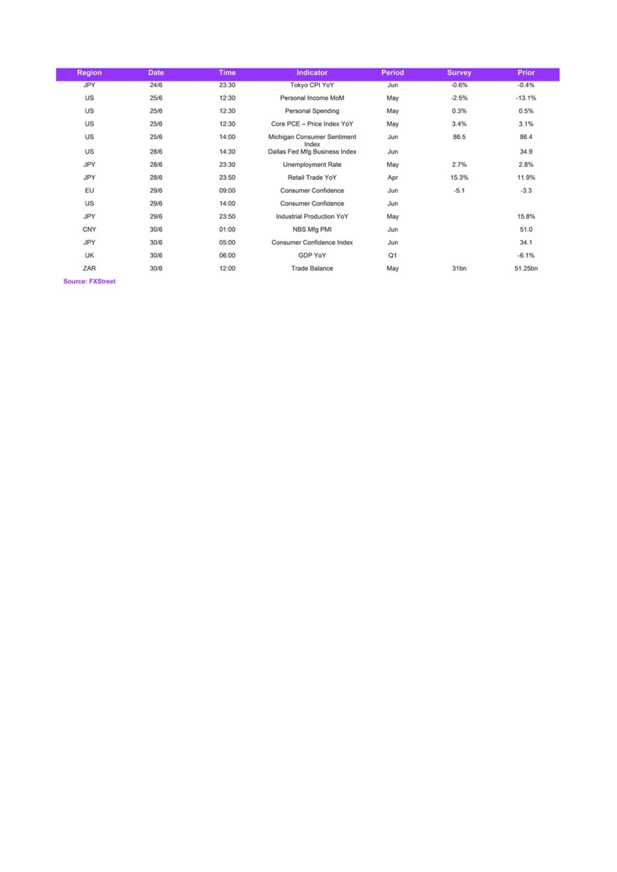| <b>Region</b> | <b>Date</b> | <b>Time</b> | <b>Indicator</b>                     | <b>Period</b> | <b>Survey</b>    | Prior    |
|---------------|-------------|-------------|--------------------------------------|---------------|------------------|----------|
| <b>JPY</b>    | 24/6        | 23:30       | Tokyo CPI YoY                        | Jun           | $-0.6%$          | $-0.4%$  |
| US            | 25/6        | 12:30       | Personal Income MoM                  | May           | $-2.5%$          | $-13.1%$ |
| US            | 25/6        | 12:30       | Personal Spending                    | May           | 0.3%             | 0.5%     |
| US            | 25/6        | 12:30       | Core PCE - Price Index YoY           | May           | 3.4%             | 3.1%     |
| US            | 25/6        | 14:00       | Michigan Consumer Sentiment<br>Index | Jun           | 86.5             | 86.4     |
| US            | 28/6        | 14:30       | Dallas Fed Mfg Business Index        | Jun           |                  | 34.9     |
| JPY           | 28/6        | 23:30       | Unemployment Rate                    | May           | 2.7%             | 2.8%     |
| JPY           | 28/6        | 23:50       | Retail Trade YoY                     | Apr           | 15.3%            | 11.9%    |
| EU            | 29/6        | 09:00       | Consumer Confidence                  | Jun           | $-5.1$           | $-3.3$   |
| US            | 29/6        | 14:00       | Consumer Confidence                  | Jun           |                  |          |
| JPY           | 29/6        | 23:50       | Industrial Production YoY            | May           |                  | 15.8%    |
| CNY           | 30/6        | 01:00       | NBS Mfg PMI                          | Jun           |                  | 51.0     |
| JPY           | 30/6        | 05:00       | Consumer Confidence Index            | Jun           |                  | 34.1     |
| <b>UK</b>     | 30/6        | 06:00       | GDP YoY                              | Q1            |                  | $-6.1%$  |
| ZAR           | 30/6        | 12:00       | <b>Trade Balance</b>                 | May           | 31 <sub>bn</sub> | 51.25bn  |

Source: FXStreet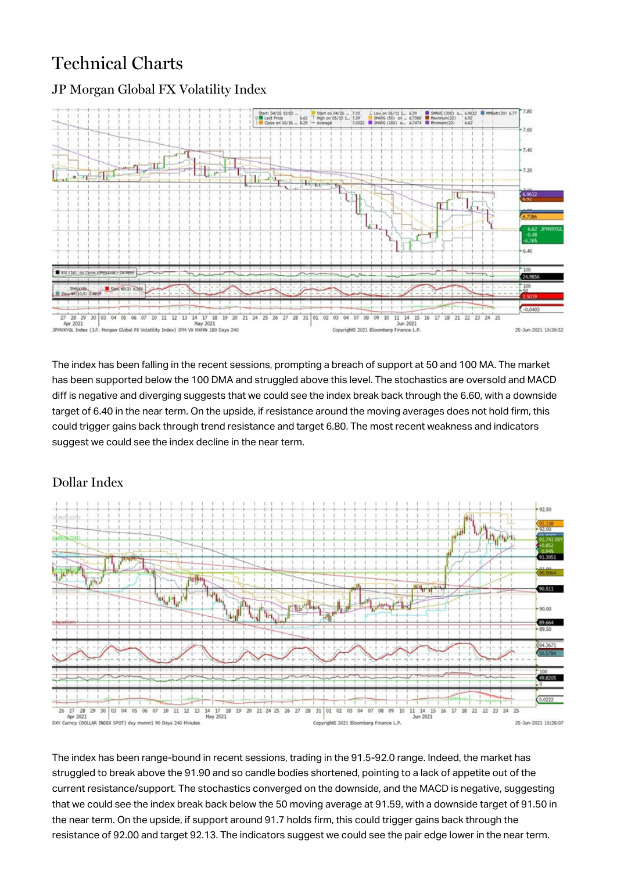# Technical Charts



## JP Morgan Global FX Volatility Index

The index has been falling in the recent sessions, prompting a breach of support at 50 and 100 MA. The market has been supported below the 100 DMA and struggled above this level. The stochastics are oversold and MACD diff is negative and diverging suggests that we could see the index break back through the 6.60, with a downside target of 6.40 in the near term. On the upside, if resistance around the moving averages does not hold firm, this could trigger gains back through trend resistance and target 6.80. The most recent weakness and indicators suggest we could see the index decline in the near term.

## Dollar Index



The index has been range-bound in recent sessions, trading in the 91.5-92.0 range. Indeed, the market has struggled to break above the 91.90 and so candle bodies shortened, pointing to a lack of appetite out of the current resistance/support. The stochastics converged on the downside, and the MACD is negative, suggesting that we could see the index break back below the 50 moving average at 91.59, with a downside target of 91.50 in the near term. On the upside, if support around 91.7 holds firm, this could trigger gains back through the resistance of 92.00 and target 92.13. The indicators suggest we could see the pair edge lower in the near term.